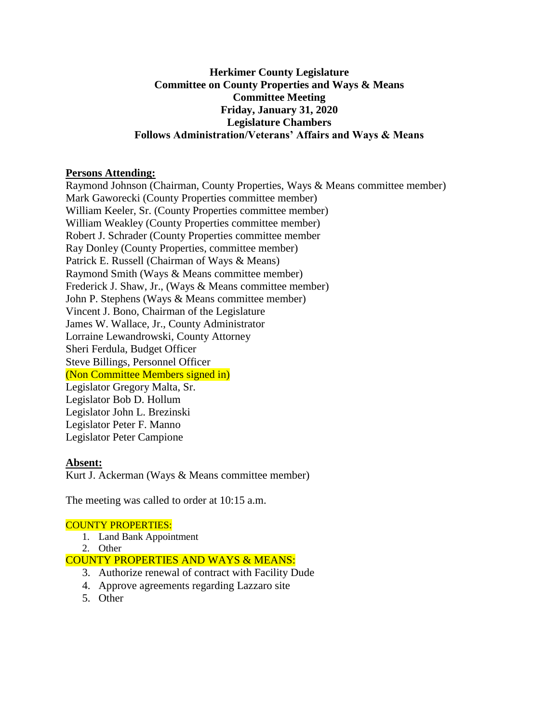## **Herkimer County Legislature Committee on County Properties and Ways & Means Committee Meeting Friday, January 31, 2020 Legislature Chambers Follows Administration/Veterans' Affairs and Ways & Means**

### **Persons Attending:**

Raymond Johnson (Chairman, County Properties, Ways & Means committee member) Mark Gaworecki (County Properties committee member) William Keeler, Sr. (County Properties committee member) William Weakley (County Properties committee member) Robert J. Schrader (County Properties committee member Ray Donley (County Properties, committee member) Patrick E. Russell (Chairman of Ways & Means) Raymond Smith (Ways & Means committee member) Frederick J. Shaw, Jr., (Ways & Means committee member) John P. Stephens (Ways & Means committee member) Vincent J. Bono, Chairman of the Legislature James W. Wallace, Jr., County Administrator Lorraine Lewandrowski, County Attorney Sheri Ferdula, Budget Officer Steve Billings, Personnel Officer (Non Committee Members signed in) Legislator Gregory Malta, Sr. Legislator Bob D. Hollum Legislator John L. Brezinski Legislator Peter F. Manno Legislator Peter Campione

#### **Absent:**

Kurt J. Ackerman (Ways & Means committee member)

The meeting was called to order at 10:15 a.m.

#### COUNTY PROPERTIES:

- 1. Land Bank Appointment
- 2. Other

#### COUNTY PROPERTIES AND WAYS & MEANS:

- 3. Authorize renewal of contract with Facility Dude
- 4. Approve agreements regarding Lazzaro site
- 5. Other